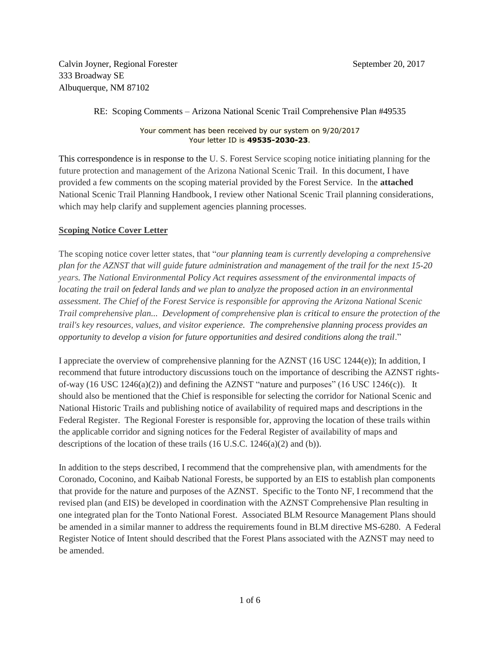Calvin Joyner, Regional Forester September 20, 2017 333 Broadway SE Albuquerque, NM 87102

## RE: Scoping Comments – Arizona National Scenic Trail Comprehensive Plan #49535

Your comment has been received by our system on 9/20/2017 Your letter ID is **49535-2030-23**.

This correspondence is in response to the U. S. Forest Service scoping notice initiating planning for the future protection and management of the Arizona National Scenic Trail. In this document, I have provided a few comments on the scoping material provided by the Forest Service. In the **attached** National Scenic Trail Planning Handbook, I review other National Scenic Trail planning considerations, which may help clarify and supplement agencies planning processes.

## **Scoping Notice Cover Letter**

The scoping notice cover letter states, that "*our planning team is currently developing a comprehensive plan for the AZNST that will guide future administration and management of the trail for the next 15-20 years. The National Environmental Policy Act requires assessment of the environmental impacts of locating the trail on federal lands and we plan to analyze the proposed action in an environmental assessment. The Chief of the Forest Service is responsible for approving the Arizona National Scenic Trail comprehensive plan... Development of comprehensive plan is critical to ensure the protection of the trail's key resources, values, and visitor experience. The comprehensive planning process provides an opportunity to develop a vision for future opportunities and desired conditions along the trail*."

I appreciate the overview of comprehensive planning for the AZNST (16 USC 1244(e)); In addition, I recommend that future introductory discussions touch on the importance of describing the AZNST rightsof-way (16 USC 1246(a)(2)) and defining the AZNST "nature and purposes" (16 USC 1246(c)). It should also be mentioned that the Chief is responsible for selecting the corridor for National Scenic and National Historic Trails and publishing notice of availability of required maps and descriptions in the Federal Register. The Regional Forester is responsible for, approving the location of these trails within the applicable corridor and signing notices for the Federal Register of availability of maps and descriptions of the location of these trails (16 U.S.C. 1246(a)(2) and (b)).

In addition to the steps described, I recommend that the comprehensive plan, with amendments for the Coronado, Coconino, and Kaibab National Forests, be supported by an EIS to establish plan components that provide for the nature and purposes of the AZNST. Specific to the Tonto NF, I recommend that the revised plan (and EIS) be developed in coordination with the AZNST Comprehensive Plan resulting in one integrated plan for the Tonto National Forest. Associated BLM Resource Management Plans should be amended in a similar manner to address the requirements found in BLM directive MS-6280. A Federal Register Notice of Intent should described that the Forest Plans associated with the AZNST may need to be amended.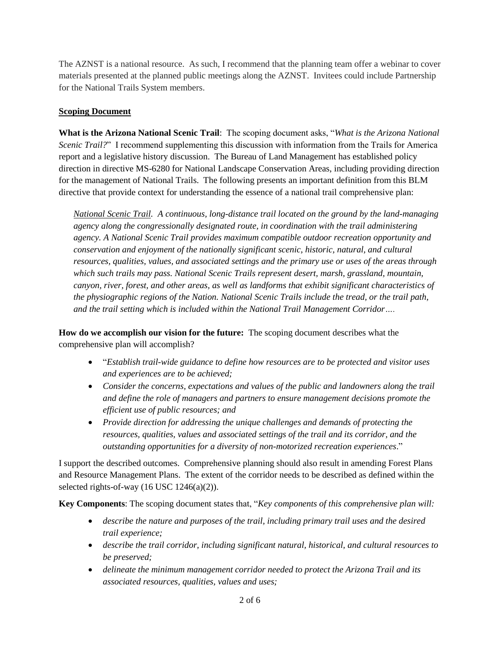The AZNST is a national resource. As such, I recommend that the planning team offer a webinar to cover materials presented at the planned public meetings along the AZNST. Invitees could include Partnership for the National Trails System members.

## **Scoping Document**

**What is the Arizona National Scenic Trail**: The scoping document asks, "*What is the Arizona National Scenic Trail?*" I recommend supplementing this discussion with information from the Trails for America report and a legislative history discussion. The Bureau of Land Management has established policy direction in directive MS-6280 for National Landscape Conservation Areas, including providing direction for the management of National Trails. The following presents an important definition from this BLM directive that provide context for understanding the essence of a national trail comprehensive plan:

*National Scenic Trail. A continuous, long-distance trail located on the ground by the land-managing agency along the congressionally designated route, in coordination with the trail administering agency. A National Scenic Trail provides maximum compatible outdoor recreation opportunity and conservation and enjoyment of the nationally significant scenic, historic, natural, and cultural resources, qualities, values, and associated settings and the primary use or uses of the areas through which such trails may pass. National Scenic Trails represent desert, marsh, grassland, mountain, canyon, river, forest, and other areas, as well as landforms that exhibit significant characteristics of the physiographic regions of the Nation. National Scenic Trails include the tread, or the trail path, and the trail setting which is included within the National Trail Management Corridor….*

**How do we accomplish our vision for the future:** The scoping document describes what the comprehensive plan will accomplish?

- "*Establish trail-wide guidance to define how resources are to be protected and visitor uses and experiences are to be achieved;*
- *Consider the concerns, expectations and values of the public and landowners along the trail and define the role of managers and partners to ensure management decisions promote the efficient use of public resources; and*
- *Provide direction for addressing the unique challenges and demands of protecting the resources, qualities, values and associated settings of the trail and its corridor, and the outstanding opportunities for a diversity of non-motorized recreation experiences*."

I support the described outcomes. Comprehensive planning should also result in amending Forest Plans and Resource Management Plans. The extent of the corridor needs to be described as defined within the selected rights-of-way (16 USC 1246(a)(2)).

**Key Components**: The scoping document states that, "*Key components of this comprehensive plan will:*

- *describe the nature and purposes of the trail, including primary trail uses and the desired trail experience;*
- *describe the trail corridor, including significant natural, historical, and cultural resources to be preserved;*
- *delineate the minimum management corridor needed to protect the Arizona Trail and its associated resources, qualities, values and uses;*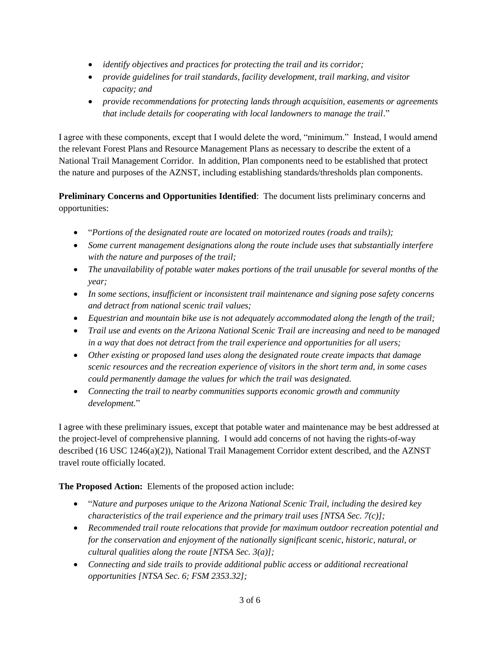- *identify objectives and practices for protecting the trail and its corridor;*
- *provide guidelines for trail standards, facility development, trail marking, and visitor capacity; and*
- *provide recommendations for protecting lands through acquisition, easements or agreements that include details for cooperating with local landowners to manage the trail*."

I agree with these components, except that I would delete the word, "minimum." Instead, I would amend the relevant Forest Plans and Resource Management Plans as necessary to describe the extent of a National Trail Management Corridor. In addition, Plan components need to be established that protect the nature and purposes of the AZNST, including establishing standards/thresholds plan components.

**Preliminary Concerns and Opportunities Identified**: The document lists preliminary concerns and opportunities:

- "*Portions of the designated route are located on motorized routes (roads and trails);*
- *Some current management designations along the route include uses that substantially interfere with the nature and purposes of the trail;*
- *The unavailability of potable water makes portions of the trail unusable for several months of the year;*
- *In some sections, insufficient or inconsistent trail maintenance and signing pose safety concerns and detract from national scenic trail values;*
- *Equestrian and mountain bike use is not adequately accommodated along the length of the trail;*
- *Trail use and events on the Arizona National Scenic Trail are increasing and need to be managed in a way that does not detract from the trail experience and opportunities for all users;*
- *Other existing or proposed land uses along the designated route create impacts that damage scenic resources and the recreation experience of visitors in the short term and, in some cases could permanently damage the values for which the trail was designated.*
- *Connecting the trail to nearby communities supports economic growth and community development.*"

I agree with these preliminary issues, except that potable water and maintenance may be best addressed at the project-level of comprehensive planning. I would add concerns of not having the rights-of-way described (16 USC 1246(a)(2)), National Trail Management Corridor extent described, and the AZNST travel route officially located.

**The Proposed Action:** Elements of the proposed action include:

- "*Nature and purposes unique to the Arizona National Scenic Trail, including the desired key characteristics of the trail experience and the primary trail uses [NTSA Sec. 7(c)];*
- *Recommended trail route relocations that provide for maximum outdoor recreation potential and for the conservation and enjoyment of the nationally significant scenic, historic, natural, or cultural qualities along the route [NTSA Sec. 3(a)];*
- *Connecting and side trails to provide additional public access or additional recreational opportunities [NTSA Sec. 6; FSM 2353.32];*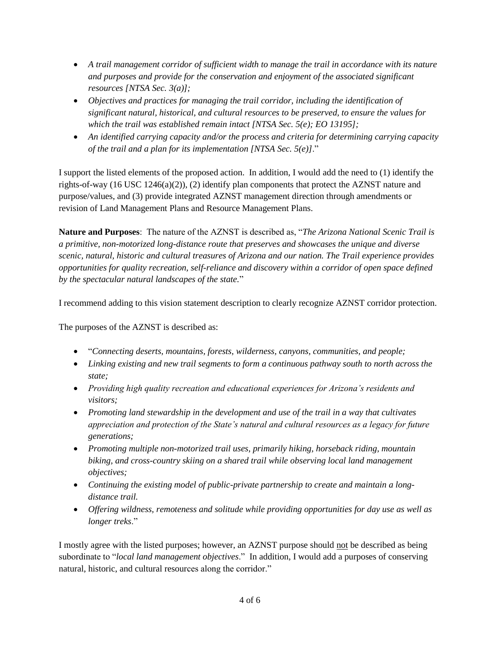- *A trail management corridor of sufficient width to manage the trail in accordance with its nature and purposes and provide for the conservation and enjoyment of the associated significant resources [NTSA Sec. 3(a)];*
- *Objectives and practices for managing the trail corridor, including the identification of significant natural, historical, and cultural resources to be preserved, to ensure the values for which the trail was established remain intact [NTSA Sec. 5(e); EO 13195];*
- *An identified carrying capacity and/or the process and criteria for determining carrying capacity of the trail and a plan for its implementation [NTSA Sec. 5(e)]*."

I support the listed elements of the proposed action. In addition, I would add the need to (1) identify the rights-of-way (16 USC 1246(a)(2)), (2) identify plan components that protect the AZNST nature and purpose/values, and (3) provide integrated AZNST management direction through amendments or revision of Land Management Plans and Resource Management Plans.

**Nature and Purposes**: The nature of the AZNST is described as, "*The Arizona National Scenic Trail is a primitive, non-motorized long-distance route that preserves and showcases the unique and diverse scenic, natural, historic and cultural treasures of Arizona and our nation. The Trail experience provides opportunities for quality recreation, self-reliance and discovery within a corridor of open space defined by the spectacular natural landscapes of the state.*"

I recommend adding to this vision statement description to clearly recognize AZNST corridor protection.

The purposes of the AZNST is described as:

- "*Connecting deserts, mountains, forests, wilderness, canyons, communities, and people;*
- *Linking existing and new trail segments to form a continuous pathway south to north across the state;*
- *Providing high quality recreation and educational experiences for Arizona's residents and visitors;*
- *Promoting land stewardship in the development and use of the trail in a way that cultivates appreciation and protection of the State's natural and cultural resources as a legacy for future generations;*
- *Promoting multiple non-motorized trail uses, primarily hiking, horseback riding, mountain biking, and cross-country skiing on a shared trail while observing local land management objectives;*
- *Continuing the existing model of public-private partnership to create and maintain a longdistance trail.*
- *Offering wildness, remoteness and solitude while providing opportunities for day use as well as longer treks*."

I mostly agree with the listed purposes; however, an AZNST purpose should not be described as being subordinate to "*local land management objectives*." In addition, I would add a purposes of conserving natural, historic, and cultural resources along the corridor."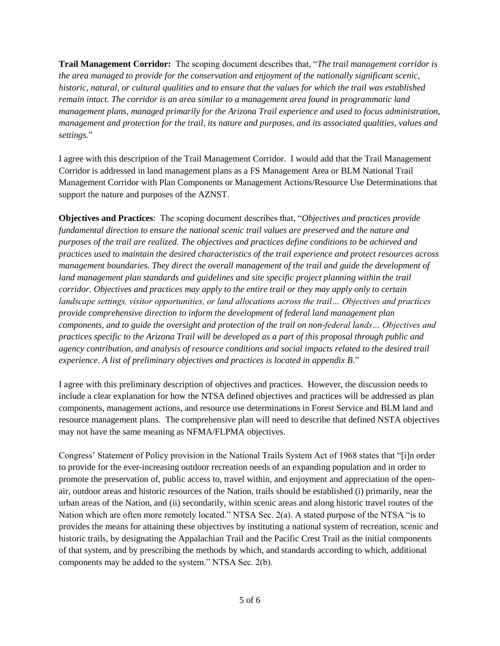**Trail Management Corridor:** The scoping document describes that, "*The trail management corridor is the area managed to provide for the conservation and enjoyment of the nationally significant scenic, historic, natural, or cultural qualities and to ensure that the values for which the trail was established remain intact. The corridor is an area similar to a management area found in programmatic land management plans, managed primarily for the Arizona Trail experience and used to focus administration, management and protection for the trail, its nature and purposes, and its associated qualities, values and settings.*"

I agree with this description of the Trail Management Corridor. I would add that the Trail Management Corridor is addressed in land management plans as a FS Management Area or BLM National Trail Management Corridor with Plan Components or Management Actions/Resource Use Determinations that support the nature and purposes of the AZNST.

**Objectives and Practices**: The scoping document describes that, "*Objectives and practices provide fundamental direction to ensure the national scenic trail values are preserved and the nature and purposes of the trail are realized. The objectives and practices define conditions to be achieved and practices used to maintain the desired characteristics of the trail experience and protect resources across management boundaries. They direct the overall management of the trail and guide the development of land management plan standards and guidelines and site specific project planning within the trail corridor. Objectives and practices may apply to the entire trail or they may apply only to certain landscape settings, visitor opportunities, or land allocations across the trail… Objectives and practices provide comprehensive direction to inform the development of federal land management plan components, and to guide the oversight and protection of the trail on non-federal lands… Objectives and practices specific to the Arizona Trail will be developed as a part of this proposal through public and agency contribution, and analysis of resource conditions and social impacts related to the desired trail experience. A list of preliminary objectives and practices is located in appendix B*."

I agree with this preliminary description of objectives and practices. However, the discussion needs to include a clear explanation for how the NTSA defined objectives and practices will be addressed as plan components, management actions, and resource use determinations in Forest Service and BLM land and resource management plans. The comprehensive plan will need to describe that defined NSTA objectives may not have the same meaning as NFMA/FLPMA objectives.

Congress' Statement of Policy provision in the National Trails System Act of 1968 states that "[i]n order to provide for the ever-increasing outdoor recreation needs of an expanding population and in order to promote the preservation of, public access to, travel within, and enjoyment and appreciation of the openair, outdoor areas and historic resources of the Nation, trails should be established (i) primarily, near the urban areas of the Nation, and (ii) secondarily, within scenic areas and along historic travel routes of the Nation which are often more remotely located." NTSA Sec. 2(a). A stated purpose of the NTSA "is to provides the means for attaining these objectives by instituting a national system of recreation, scenic and historic trails, by designating the Appalachian Trail and the Pacific Crest Trail as the initial components of that system, and by prescribing the methods by which, and standards according to which, additional components may be added to the system." NTSA Sec. 2(b).